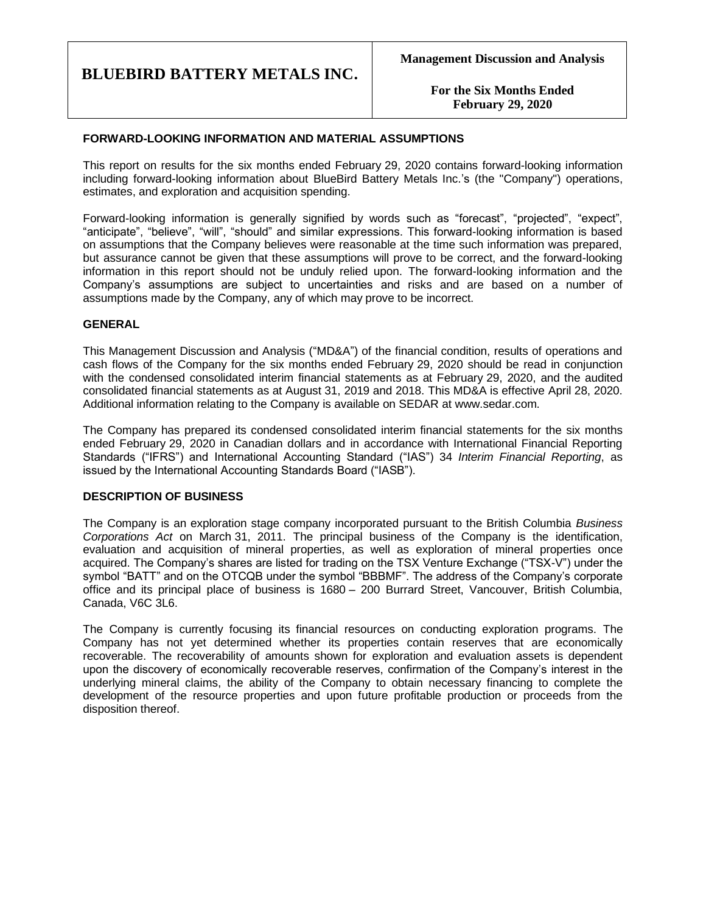**For the Six Months Ended February 29, 2020**

## **FORWARD-LOOKING INFORMATION AND MATERIAL ASSUMPTIONS**

This report on results for the six months ended February 29, 2020 contains forward-looking information including forward-looking information about BlueBird Battery Metals Inc.'s (the "Company") operations, estimates, and exploration and acquisition spending.

Forward-looking information is generally signified by words such as "forecast", "projected", "expect", "anticipate", "believe", "will", "should" and similar expressions. This forward-looking information is based on assumptions that the Company believes were reasonable at the time such information was prepared, but assurance cannot be given that these assumptions will prove to be correct, and the forward-looking information in this report should not be unduly relied upon. The forward-looking information and the Company's assumptions are subject to uncertainties and risks and are based on a number of assumptions made by the Company, any of which may prove to be incorrect.

## **GENERAL**

This Management Discussion and Analysis ("MD&A") of the financial condition, results of operations and cash flows of the Company for the six months ended February 29, 2020 should be read in conjunction with the condensed consolidated interim financial statements as at February 29, 2020, and the audited consolidated financial statements as at August 31, 2019 and 2018. This MD&A is effective April 28, 2020. Additional information relating to the Company is available on SEDAR at www.sedar.com.

The Company has prepared its condensed consolidated interim financial statements for the six months ended February 29, 2020 in Canadian dollars and in accordance with International Financial Reporting Standards ("IFRS") and International Accounting Standard ("IAS") 34 *Interim Financial Reporting*, as issued by the International Accounting Standards Board ("IASB").

### **DESCRIPTION OF BUSINESS**

The Company is an exploration stage company incorporated pursuant to the British Columbia *Business Corporations Act* on March 31, 2011. The principal business of the Company is the identification, evaluation and acquisition of mineral properties, as well as exploration of mineral properties once acquired. The Company's shares are listed for trading on the TSX Venture Exchange ("TSX-V") under the symbol "BATT" and on the OTCQB under the symbol "BBBMF". The address of the Company's corporate office and its principal place of business is 1680 – 200 Burrard Street, Vancouver, British Columbia, Canada, V6C 3L6.

The Company is currently focusing its financial resources on conducting exploration programs. The Company has not yet determined whether its properties contain reserves that are economically recoverable. The recoverability of amounts shown for exploration and evaluation assets is dependent upon the discovery of economically recoverable reserves, confirmation of the Company's interest in the underlying mineral claims, the ability of the Company to obtain necessary financing to complete the development of the resource properties and upon future profitable production or proceeds from the disposition thereof.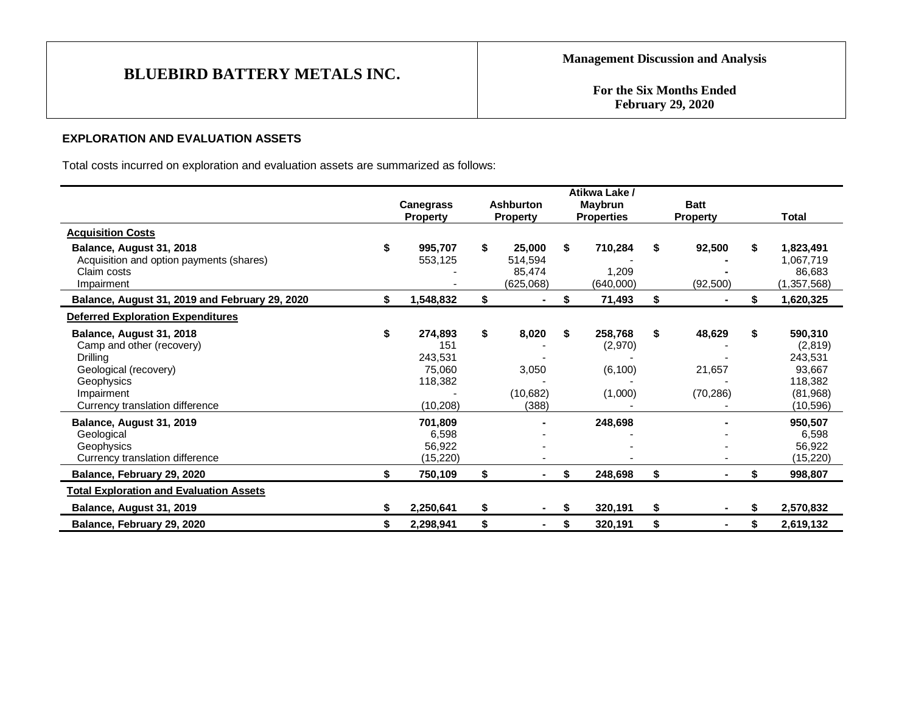**For the Six Months Ended February 29, 2020**

## **EXPLORATION AND EVALUATION ASSETS**

Total costs incurred on exploration and evaluation assets are summarized as follows:

|                                                                                                                                                                                                     |                                                                                       |                                                |    | Atikwa Lake /                                        |    |                                |    |                                                                                                 |
|-----------------------------------------------------------------------------------------------------------------------------------------------------------------------------------------------------|---------------------------------------------------------------------------------------|------------------------------------------------|----|------------------------------------------------------|----|--------------------------------|----|-------------------------------------------------------------------------------------------------|
|                                                                                                                                                                                                     | <b>Canegrass</b><br><b>Property</b>                                                   | <b>Ashburton</b><br><b>Property</b>            |    | <b>Maybrun</b><br><b>Properties</b>                  |    | <b>Batt</b><br><b>Property</b> |    | Total                                                                                           |
| <b>Acquisition Costs</b>                                                                                                                                                                            |                                                                                       |                                                |    |                                                      |    |                                |    |                                                                                                 |
| Balance, August 31, 2018<br>Acquisition and option payments (shares)<br>Claim costs<br>Impairment                                                                                                   | \$<br>995,707<br>553,125                                                              | \$<br>25,000<br>514,594<br>85,474<br>(625,068) | \$ | 710,284<br>1,209<br>(640,000)                        |    | 92,500<br>(92, 500)            | \$ | 1,823,491<br>1,067,719<br>86,683<br>(1, 357, 568)                                               |
| Balance, August 31, 2019 and February 29, 2020                                                                                                                                                      | \$<br>1,548,832                                                                       | \$                                             | S  | 71,493                                               | S  |                                | \$ | 1,620,325                                                                                       |
| <b>Deferred Exploration Expenditures</b>                                                                                                                                                            |                                                                                       |                                                |    |                                                      |    |                                |    |                                                                                                 |
| Balance, August 31, 2018<br>Camp and other (recovery)<br>Drilling<br>Geological (recovery)<br>Geophysics<br>Impairment<br>Currency translation difference<br>Balance, August 31, 2019<br>Geological | \$<br>274,893<br>151<br>243,531<br>75,060<br>118,382<br>(10, 208)<br>701,809<br>6,598 | \$<br>8,020<br>3,050<br>(10,682)<br>(388)      | S  | 258,768<br>(2,970)<br>(6, 100)<br>(1,000)<br>248,698 | \$ | 48,629<br>21,657<br>(70, 286)  | \$ | 590,310<br>(2,819)<br>243,531<br>93,667<br>118,382<br>(81,968)<br>(10, 596)<br>950,507<br>6,598 |
| Geophysics<br>Currency translation difference                                                                                                                                                       | 56,922<br>(15, 220)                                                                   |                                                |    |                                                      |    |                                |    | 56,922<br>(15, 220)                                                                             |
| Balance, February 29, 2020                                                                                                                                                                          | 750,109                                                                               | \$<br>۰                                        | \$ | 248,698                                              | \$ |                                | \$ | 998,807                                                                                         |
| <b>Total Exploration and Evaluation Assets</b>                                                                                                                                                      |                                                                                       |                                                |    |                                                      |    |                                |    |                                                                                                 |
| Balance, August 31, 2019                                                                                                                                                                            | 2,250,641                                                                             | \$                                             | S  | 320,191                                              | S  |                                | S  | 2,570,832                                                                                       |
| Balance, February 29, 2020                                                                                                                                                                          | 2,298,941                                                                             | \$<br>$\sim$                                   | S. | 320,191                                              | S  | $\blacksquare$                 | \$ | 2,619,132                                                                                       |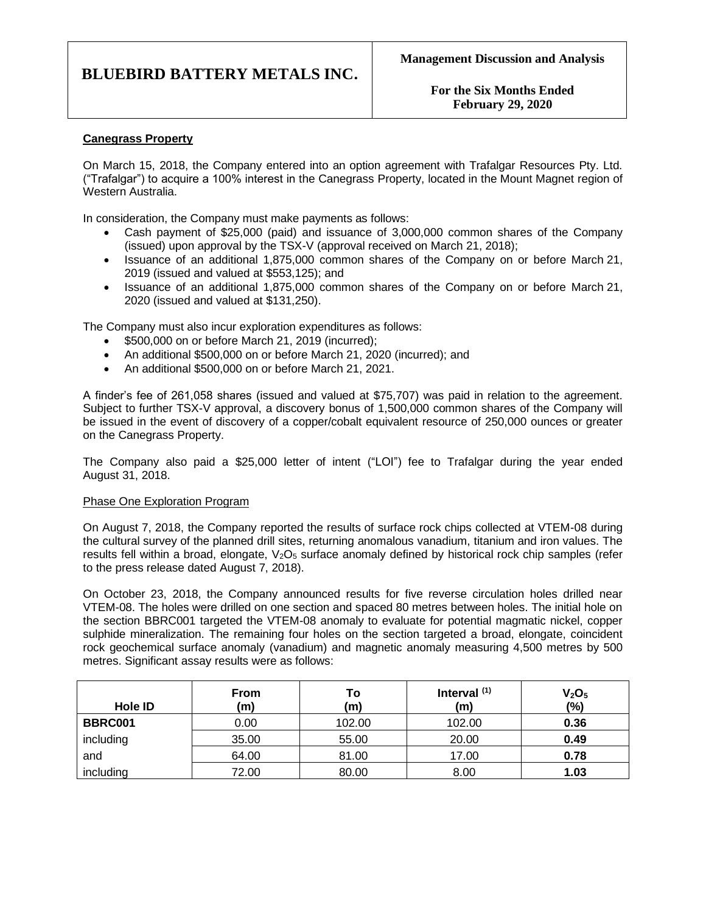**For the Six Months Ended February 29, 2020**

## **Canegrass Property**

On March 15, 2018, the Company entered into an option agreement with Trafalgar Resources Pty. Ltd. ("Trafalgar") to acquire a 100% interest in the Canegrass Property, located in the Mount Magnet region of Western Australia.

In consideration, the Company must make payments as follows:

- Cash payment of \$25,000 (paid) and issuance of 3,000,000 common shares of the Company (issued) upon approval by the TSX-V (approval received on March 21, 2018);
- Issuance of an additional 1,875,000 common shares of the Company on or before March 21, 2019 (issued and valued at \$553,125); and
- Issuance of an additional 1,875,000 common shares of the Company on or before March 21, 2020 (issued and valued at \$131,250).

The Company must also incur exploration expenditures as follows:

- \$500,000 on or before March 21, 2019 (incurred);
- An additional \$500,000 on or before March 21, 2020 (incurred); and
- An additional \$500,000 on or before March 21, 2021.

A finder's fee of 261,058 shares (issued and valued at \$75,707) was paid in relation to the agreement. Subject to further TSX-V approval, a discovery bonus of 1,500,000 common shares of the Company will be issued in the event of discovery of a copper/cobalt equivalent resource of 250,000 ounces or greater on the Canegrass Property.

The Company also paid a \$25,000 letter of intent ("LOI") fee to Trafalgar during the year ended August 31, 2018.

### Phase One Exploration Program

On August 7, 2018, the Company reported the results of surface rock chips collected at VTEM-08 during the cultural survey of the planned drill sites, returning anomalous vanadium, titanium and iron values. The results fell within a broad, elongate,  $V_2O_5$  surface anomaly defined by historical rock chip samples (refer to the press release dated August 7, 2018).

On October 23, 2018, the Company announced results for five reverse circulation holes drilled near VTEM-08. The holes were drilled on one section and spaced 80 metres between holes. The initial hole on the section BBRC001 targeted the VTEM-08 anomaly to evaluate for potential magmatic nickel, copper sulphide mineralization. The remaining four holes on the section targeted a broad, elongate, coincident rock geochemical surface anomaly (vanadium) and magnetic anomaly measuring 4,500 metres by 500 metres. Significant assay results were as follows:

| Hole ID   | <b>From</b><br>(m) | To<br>(m) | Interval $(1)$<br>(m) | V <sub>2</sub> O <sub>5</sub><br>$(\%)$ |
|-----------|--------------------|-----------|-----------------------|-----------------------------------------|
| BBRC001   | 0.00               | 102.00    | 102.00                | 0.36                                    |
| including | 35.00              | 55.00     | 20.00                 | 0.49                                    |
| and       | 64.00              | 81.00     | 17.00                 | 0.78                                    |
| including | 72.00              | 80.00     | 8.00                  | 1.03                                    |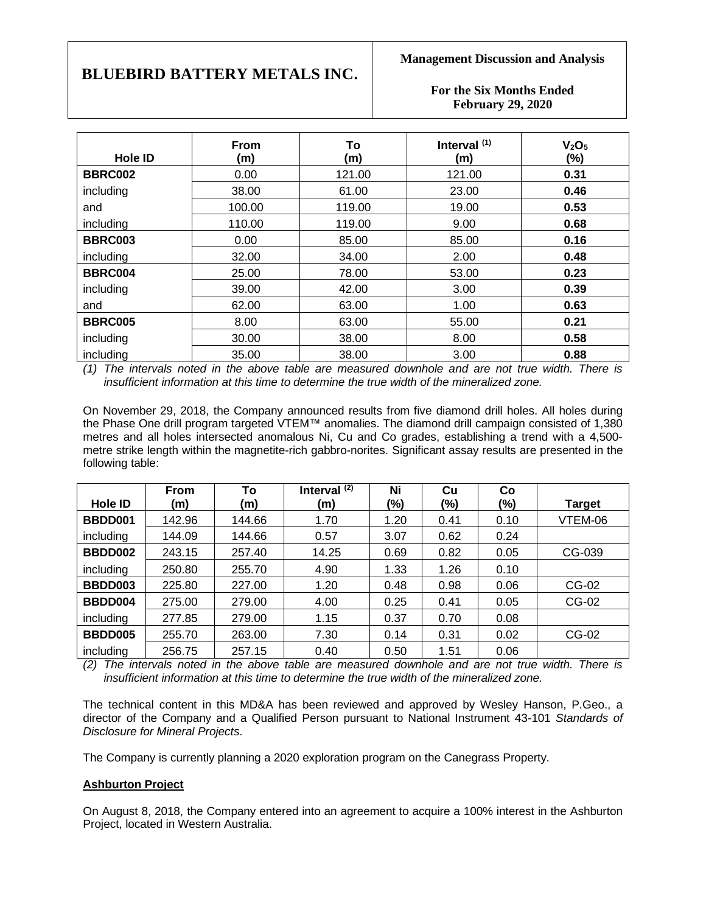**Management Discussion and Analysis**

**For the Six Months Ended February 29, 2020**

| <b>Hole ID</b> | <b>From</b><br>(m) | To<br>(m) | Interval <sup>(1)</sup><br>(m) | V <sub>2</sub> O <sub>5</sub><br>(%) |
|----------------|--------------------|-----------|--------------------------------|--------------------------------------|
| <b>BBRC002</b> | 0.00               | 121.00    | 121.00                         | 0.31                                 |
| including      | 38.00              | 61.00     | 23.00                          | 0.46                                 |
| and            | 100.00             | 119.00    | 19.00                          | 0.53                                 |
| including      | 110.00             | 119.00    | 9.00                           | 0.68                                 |
| <b>BBRC003</b> | 0.00               | 85.00     | 85.00                          | 0.16                                 |
| including      | 32.00              | 34.00     | 2.00                           | 0.48                                 |
| <b>BBRC004</b> | 25.00              | 78.00     | 53.00                          | 0.23                                 |
| including      | 39.00              | 42.00     | 3.00                           | 0.39                                 |
| and            | 62.00              | 63.00     | 1.00                           | 0.63                                 |
| <b>BBRC005</b> | 8.00               | 63.00     | 55.00                          | 0.21                                 |
| including      | 30.00              | 38.00     | 8.00                           | 0.58                                 |
| including      | 35.00              | 38.00     | 3.00                           | 0.88                                 |

*(1) The intervals noted in the above table are measured downhole and are not true width. There is insufficient information at this time to determine the true width of the mineralized zone.*

On November 29, 2018, the Company announced results from five diamond drill holes. All holes during the Phase One drill program targeted VTEM™ anomalies. The diamond drill campaign consisted of 1,380 metres and all holes intersected anomalous Ni, Cu and Co grades, establishing a trend with a 4,500 metre strike length within the magnetite-rich gabbro-norites. Significant assay results are presented in the following table:

|                | From   | To     | Interval $(2)$ | Ni   | Cu   | Co   |               |
|----------------|--------|--------|----------------|------|------|------|---------------|
| <b>Hole ID</b> | (m)    | (m)    | (m)            | (%)  | (%)  | (%)  | <b>Target</b> |
| BBDD001        | 142.96 | 144.66 | 1.70           | 1.20 | 0.41 | 0.10 | VTEM-06       |
| including      | 144.09 | 144.66 | 0.57           | 3.07 | 0.62 | 0.24 |               |
| BBDD002        | 243.15 | 257.40 | 14.25          | 0.69 | 0.82 | 0.05 | CG-039        |
| including      | 250.80 | 255.70 | 4.90           | 1.33 | 1.26 | 0.10 |               |
| <b>BBDD003</b> | 225.80 | 227.00 | 1.20           | 0.48 | 0.98 | 0.06 | CG-02         |
| BBDD004        | 275.00 | 279.00 | 4.00           | 0.25 | 0.41 | 0.05 | CG-02         |
| including      | 277.85 | 279.00 | 1.15           | 0.37 | 0.70 | 0.08 |               |
| BBDD005        | 255.70 | 263.00 | 7.30           | 0.14 | 0.31 | 0.02 | CG-02         |
| including      | 256.75 | 257.15 | 0.40           | 0.50 | 1.51 | 0.06 |               |

*(2) The intervals noted in the above table are measured downhole and are not true width. There is insufficient information at this time to determine the true width of the mineralized zone.*

The technical content in this MD&A has been reviewed and approved by Wesley Hanson, P.Geo., a director of the Company and a Qualified Person pursuant to National Instrument 43-101 *Standards of Disclosure for Mineral Projects*.

The Company is currently planning a 2020 exploration program on the Canegrass Property.

## **Ashburton Project**

On August 8, 2018, the Company entered into an agreement to acquire a 100% interest in the Ashburton Project, located in Western Australia.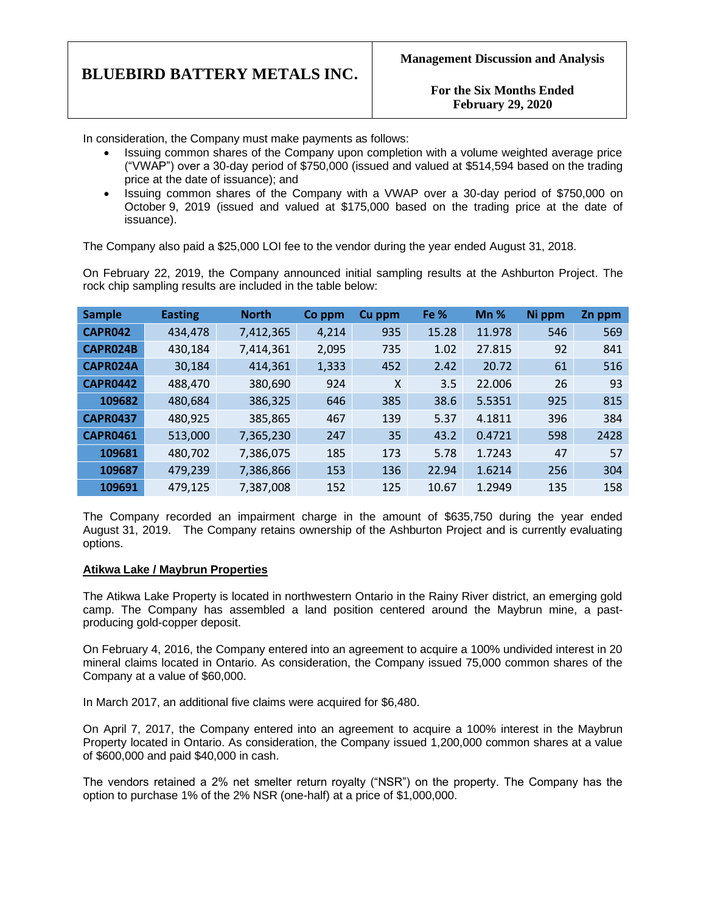**For the Six Months Ended February 29, 2020**

In consideration, the Company must make payments as follows:

- Issuing common shares of the Company upon completion with a volume weighted average price ("VWAP") over a 30-day period of \$750,000 (issued and valued at \$514,594 based on the trading price at the date of issuance); and
- Issuing common shares of the Company with a VWAP over a 30-day period of \$750,000 on October 9, 2019 (issued and valued at \$175,000 based on the trading price at the date of issuance).

The Company also paid a \$25,000 LOI fee to the vendor during the year ended August 31, 2018.

On February 22, 2019, the Company announced initial sampling results at the Ashburton Project. The rock chip sampling results are included in the table below:

| <b>Sample</b>   | <b>Easting</b> | <b>North</b> | Co ppm | Cu ppm | Fe %  | $Mn$ % | Ni ppm | Zn ppm |
|-----------------|----------------|--------------|--------|--------|-------|--------|--------|--------|
| <b>CAPR042</b>  | 434,478        | 7,412,365    | 4,214  | 935    | 15.28 | 11.978 | 546    | 569    |
| CAPR024B        | 430,184        | 7,414,361    | 2,095  | 735    | 1.02  | 27.815 | 92     | 841    |
| CAPR024A        | 30,184         | 414,361      | 1,333  | 452    | 2.42  | 20.72  | 61     | 516    |
| <b>CAPR0442</b> | 488,470        | 380,690      | 924    | X      | 3.5   | 22.006 | 26     | 93     |
| 109682          | 480,684        | 386,325      | 646    | 385    | 38.6  | 5.5351 | 925    | 815    |
| <b>CAPR0437</b> | 480,925        | 385,865      | 467    | 139    | 5.37  | 4.1811 | 396    | 384    |
| <b>CAPR0461</b> | 513,000        | 7,365,230    | 247    | 35     | 43.2  | 0.4721 | 598    | 2428   |
| 109681          | 480,702        | 7,386,075    | 185    | 173    | 5.78  | 1.7243 | 47     | 57     |
| 109687          | 479,239        | 7,386,866    | 153    | 136    | 22.94 | 1.6214 | 256    | 304    |
| 109691          | 479,125        | 7,387,008    | 152    | 125    | 10.67 | 1.2949 | 135    | 158    |

The Company recorded an impairment charge in the amount of \$635,750 during the year ended August 31, 2019. The Company retains ownership of the Ashburton Project and is currently evaluating options.

### **Atikwa Lake / Maybrun Properties**

The Atikwa Lake Property is located in northwestern Ontario in the Rainy River district, an emerging gold camp. The Company has assembled a land position centered around the Maybrun mine, a pastproducing gold-copper deposit.

On February 4, 2016, the Company entered into an agreement to acquire a 100% undivided interest in 20 mineral claims located in Ontario. As consideration, the Company issued 75,000 common shares of the Company at a value of \$60,000.

In March 2017, an additional five claims were acquired for \$6,480.

On April 7, 2017, the Company entered into an agreement to acquire a 100% interest in the Maybrun Property located in Ontario. As consideration, the Company issued 1,200,000 common shares at a value of \$600,000 and paid \$40,000 in cash.

The vendors retained a 2% net smelter return royalty ("NSR") on the property. The Company has the option to purchase 1% of the 2% NSR (one-half) at a price of \$1,000,000.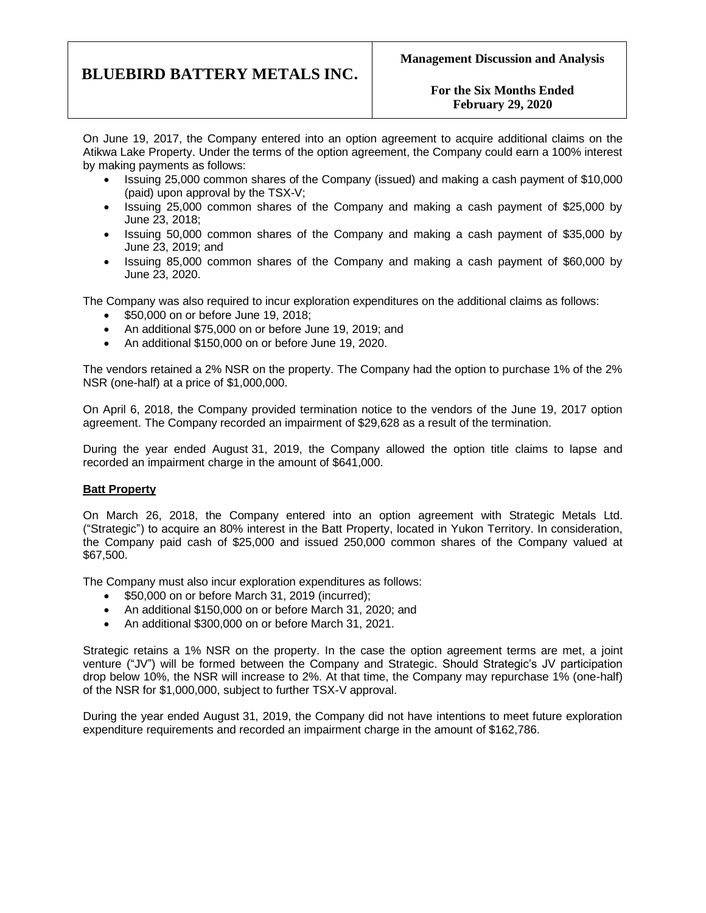## **For the Six Months Ended February 29, 2020**

On June 19, 2017, the Company entered into an option agreement to acquire additional claims on the Atikwa Lake Property. Under the terms of the option agreement, the Company could earn a 100% interest by making payments as follows:

- Issuing 25,000 common shares of the Company (issued) and making a cash payment of \$10,000 (paid) upon approval by the TSX-V;
- Issuing 25,000 common shares of the Company and making a cash payment of \$25,000 by June 23, 2018;
- Issuing 50,000 common shares of the Company and making a cash payment of \$35,000 by June 23, 2019; and
- Issuing 85,000 common shares of the Company and making a cash payment of \$60,000 by June 23, 2020.

The Company was also required to incur exploration expenditures on the additional claims as follows:

- \$50,000 on or before June 19, 2018;
- An additional \$75,000 on or before June 19, 2019; and
- An additional \$150,000 on or before June 19, 2020.

The vendors retained a 2% NSR on the property. The Company had the option to purchase 1% of the 2% NSR (one-half) at a price of \$1,000,000.

On April 6, 2018, the Company provided termination notice to the vendors of the June 19, 2017 option agreement. The Company recorded an impairment of \$29,628 as a result of the termination.

During the year ended August 31, 2019, the Company allowed the option title claims to lapse and recorded an impairment charge in the amount of \$641,000.

### **Batt Property**

On March 26, 2018, the Company entered into an option agreement with Strategic Metals Ltd. ("Strategic") to acquire an 80% interest in the Batt Property, located in Yukon Territory. In consideration, the Company paid cash of \$25,000 and issued 250,000 common shares of the Company valued at \$67,500.

The Company must also incur exploration expenditures as follows:

- \$50,000 on or before March 31, 2019 (incurred);
- An additional \$150,000 on or before March 31, 2020; and
- An additional \$300,000 on or before March 31, 2021.

Strategic retains a 1% NSR on the property. In the case the option agreement terms are met, a joint venture ("JV") will be formed between the Company and Strategic. Should Strategic's JV participation drop below 10%, the NSR will increase to 2%. At that time, the Company may repurchase 1% (one-half) of the NSR for \$1,000,000, subject to further TSX-V approval.

During the year ended August 31, 2019, the Company did not have intentions to meet future exploration expenditure requirements and recorded an impairment charge in the amount of \$162,786.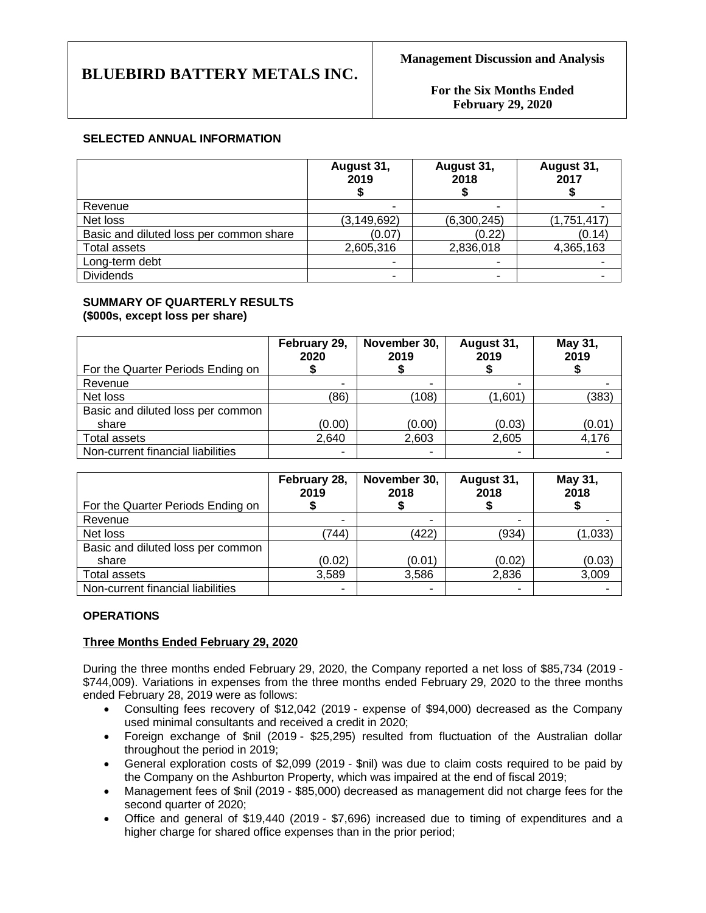**For the Six Months Ended February 29, 2020**

## **SELECTED ANNUAL INFORMATION**

|                                         | August 31,<br>2019 | August 31,<br>2018 | August 31,<br>2017 |
|-----------------------------------------|--------------------|--------------------|--------------------|
| Revenue                                 |                    |                    |                    |
| Net loss                                | (3, 149, 692)      | (6,300,245)        | (1,751,417)        |
| Basic and diluted loss per common share | (0.07)             | (0.22)             | (0.14)             |
| <b>Total assets</b>                     | 2,605,316          | 2,836,018          | 4,365,163          |
| Long-term debt                          |                    |                    |                    |
| <b>Dividends</b>                        | ۰                  |                    |                    |

#### **SUMMARY OF QUARTERLY RESULTS (\$000s, except loss per share)**

| For the Quarter Periods Ending on          | February 29,<br>2020 | November 30,<br>2019 | August 31,<br>2019 | May 31,<br>2019 |
|--------------------------------------------|----------------------|----------------------|--------------------|-----------------|
| Revenue                                    |                      |                      |                    |                 |
| Net loss                                   | (86)                 | (108)                | (1,601)            | (383)           |
| Basic and diluted loss per common<br>share | (0.00)               | (0.00)               | (0.03)             | (0.01)          |
| Total assets                               | 2,640                | 2,603                | 2,605              | 4,176           |
| Non-current financial liabilities          | ۰                    | -                    |                    |                 |

|                                   | February 28,<br>2019 | November 30,<br>2018 | August 31,<br>2018 | May 31,<br>2018 |
|-----------------------------------|----------------------|----------------------|--------------------|-----------------|
| For the Quarter Periods Ending on |                      |                      |                    |                 |
| Revenue                           | -                    | -                    | -                  |                 |
| Net loss                          | (744)                | (422)                | (934)              | (1,033)         |
| Basic and diluted loss per common |                      |                      |                    |                 |
| share                             | (0.02)               | (0.01)               | (0.02)             | (0.03)          |
| Total assets                      | 3,589                | 3,586                | 2,836              | 3,009           |
| Non-current financial liabilities | ۰                    | ۰                    | ۰                  |                 |

## **OPERATIONS**

### **Three Months Ended February 29, 2020**

During the three months ended February 29, 2020, the Company reported a net loss of \$85,734 (2019 - \$744,009). Variations in expenses from the three months ended February 29, 2020 to the three months ended February 28, 2019 were as follows:

- Consulting fees recovery of \$12,042 (2019 expense of \$94,000) decreased as the Company used minimal consultants and received a credit in 2020;
- Foreign exchange of \$nil (2019 \$25,295) resulted from fluctuation of the Australian dollar throughout the period in 2019;
- General exploration costs of \$2,099 (2019 \$nil) was due to claim costs required to be paid by the Company on the Ashburton Property, which was impaired at the end of fiscal 2019;
- Management fees of \$nil (2019 \$85,000) decreased as management did not charge fees for the second quarter of 2020;
- Office and general of \$19,440 (2019 \$7,696) increased due to timing of expenditures and a higher charge for shared office expenses than in the prior period;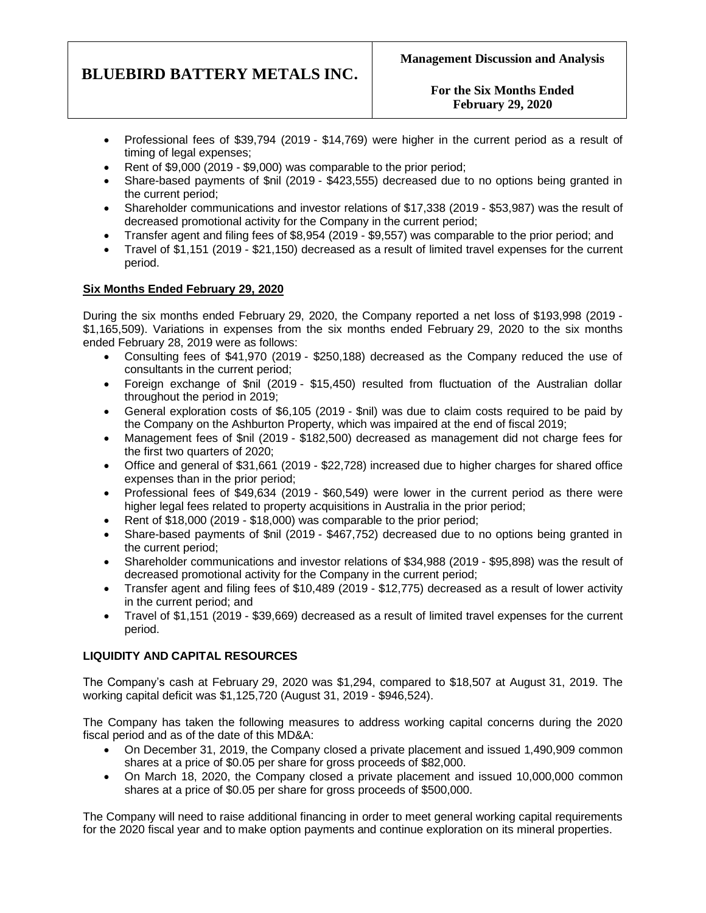**For the Six Months Ended February 29, 2020**

- Professional fees of \$39,794 (2019 \$14,769) were higher in the current period as a result of timing of legal expenses;
- Rent of \$9,000 (2019 \$9,000) was comparable to the prior period;
- Share-based payments of \$nil (2019 \$423,555) decreased due to no options being granted in the current period;
- Shareholder communications and investor relations of \$17,338 (2019 \$53,987) was the result of decreased promotional activity for the Company in the current period;
- Transfer agent and filing fees of \$8,954 (2019 \$9,557) was comparable to the prior period; and
- Travel of \$1,151 (2019 \$21,150) decreased as a result of limited travel expenses for the current period.

## **Six Months Ended February 29, 2020**

During the six months ended February 29, 2020, the Company reported a net loss of \$193,998 (2019 - \$1,165,509). Variations in expenses from the six months ended February 29, 2020 to the six months ended February 28, 2019 were as follows:

- Consulting fees of \$41,970 (2019 \$250,188) decreased as the Company reduced the use of consultants in the current period;
- Foreign exchange of \$nil (2019 \$15,450) resulted from fluctuation of the Australian dollar throughout the period in 2019;
- General exploration costs of \$6,105 (2019 \$nil) was due to claim costs required to be paid by the Company on the Ashburton Property, which was impaired at the end of fiscal 2019;
- Management fees of \$nil (2019 \$182,500) decreased as management did not charge fees for the first two quarters of 2020;
- Office and general of \$31,661 (2019 \$22,728) increased due to higher charges for shared office expenses than in the prior period;
- Professional fees of \$49,634 (2019 \$60,549) were lower in the current period as there were higher legal fees related to property acquisitions in Australia in the prior period;
- Rent of \$18,000 (2019 \$18,000) was comparable to the prior period;
- Share-based payments of \$nil (2019 \$467,752) decreased due to no options being granted in the current period;
- Shareholder communications and investor relations of \$34,988 (2019 \$95,898) was the result of decreased promotional activity for the Company in the current period;
- Transfer agent and filing fees of \$10,489 (2019 \$12,775) decreased as a result of lower activity in the current period; and
- Travel of \$1,151 (2019 \$39,669) decreased as a result of limited travel expenses for the current period.

## **LIQUIDITY AND CAPITAL RESOURCES**

The Company's cash at February 29, 2020 was \$1,294, compared to \$18,507 at August 31, 2019. The working capital deficit was \$1,125,720 (August 31, 2019 - \$946,524).

The Company has taken the following measures to address working capital concerns during the 2020 fiscal period and as of the date of this MD&A:

- On December 31, 2019, the Company closed a private placement and issued 1,490,909 common shares at a price of \$0.05 per share for gross proceeds of \$82,000.
- On March 18, 2020, the Company closed a private placement and issued 10,000,000 common shares at a price of \$0.05 per share for gross proceeds of \$500,000.

The Company will need to raise additional financing in order to meet general working capital requirements for the 2020 fiscal year and to make option payments and continue exploration on its mineral properties.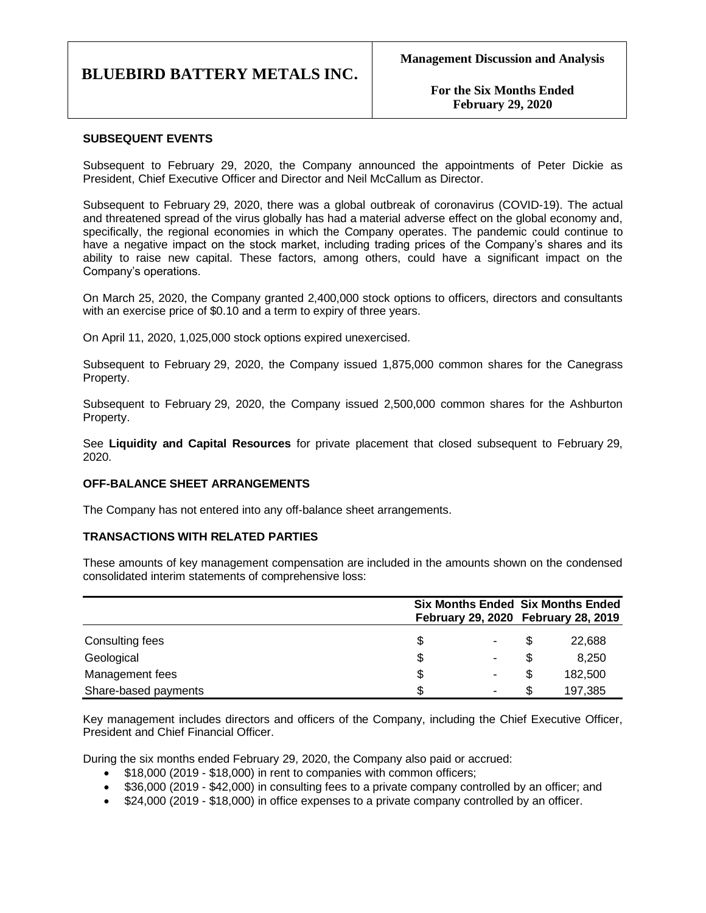**For the Six Months Ended February 29, 2020**

## **SUBSEQUENT EVENTS**

Subsequent to February 29, 2020, the Company announced the appointments of Peter Dickie as President, Chief Executive Officer and Director and Neil McCallum as Director.

Subsequent to February 29, 2020, there was a global outbreak of coronavirus (COVID-19). The actual and threatened spread of the virus globally has had a material adverse effect on the global economy and, specifically, the regional economies in which the Company operates. The pandemic could continue to have a negative impact on the stock market, including trading prices of the Company's shares and its ability to raise new capital. These factors, among others, could have a significant impact on the Company's operations.

On March 25, 2020, the Company granted 2,400,000 stock options to officers, directors and consultants with an exercise price of \$0.10 and a term to expiry of three years.

On April 11, 2020, 1,025,000 stock options expired unexercised.

Subsequent to February 29, 2020, the Company issued 1,875,000 common shares for the Canegrass Property.

Subsequent to February 29, 2020, the Company issued 2,500,000 common shares for the Ashburton Property.

See **Liquidity and Capital Resources** for private placement that closed subsequent to February 29, 2020.

### **OFF-BALANCE SHEET ARRANGEMENTS**

The Company has not entered into any off-balance sheet arrangements.

### **TRANSACTIONS WITH RELATED PARTIES**

These amounts of key management compensation are included in the amounts shown on the condensed consolidated interim statements of comprehensive loss:

|                      |    |   | <b>Six Months Ended Six Months Ended</b> |                                     |  |
|----------------------|----|---|------------------------------------------|-------------------------------------|--|
|                      |    |   |                                          | February 29, 2020 February 28, 2019 |  |
| Consulting fees      | S  |   |                                          | 22,688                              |  |
| Geological           | \$ |   |                                          | 8,250                               |  |
| Management fees      | \$ |   |                                          | 182,500                             |  |
| Share-based payments | S  | - |                                          | 197,385                             |  |

Key management includes directors and officers of the Company, including the Chief Executive Officer, President and Chief Financial Officer.

During the six months ended February 29, 2020, the Company also paid or accrued:

- \$18,000 (2019 \$18,000) in rent to companies with common officers;
- \$36,000 (2019 \$42,000) in consulting fees to a private company controlled by an officer; and
- \$24,000 (2019 \$18,000) in office expenses to a private company controlled by an officer.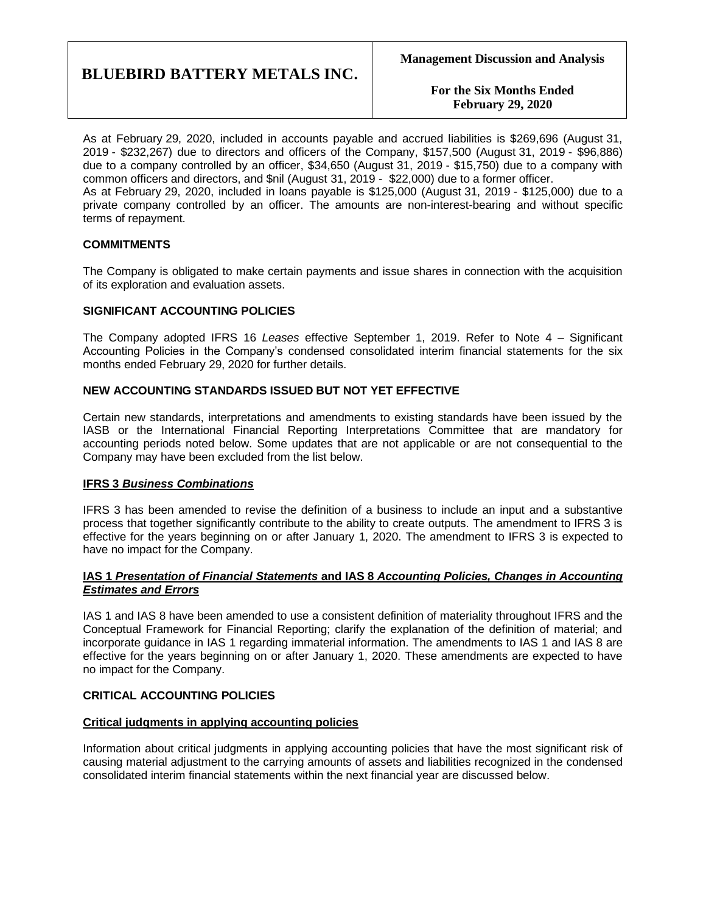**For the Six Months Ended February 29, 2020**

As at February 29, 2020, included in accounts payable and accrued liabilities is \$269,696 (August 31, 2019 - \$232,267) due to directors and officers of the Company, \$157,500 (August 31, 2019 - \$96,886) due to a company controlled by an officer, \$34,650 (August 31, 2019 - \$15,750) due to a company with common officers and directors, and \$nil (August 31, 2019 - \$22,000) due to a former officer. As at February 29, 2020, included in loans payable is \$125,000 (August 31, 2019 - \$125,000) due to a private company controlled by an officer. The amounts are non-interest-bearing and without specific terms of repayment.

## **COMMITMENTS**

The Company is obligated to make certain payments and issue shares in connection with the acquisition of its exploration and evaluation assets.

## **SIGNIFICANT ACCOUNTING POLICIES**

The Company adopted IFRS 16 *Leases* effective September 1, 2019. Refer to Note 4 – Significant Accounting Policies in the Company's condensed consolidated interim financial statements for the six months ended February 29, 2020 for further details.

## **NEW ACCOUNTING STANDARDS ISSUED BUT NOT YET EFFECTIVE**

Certain new standards, interpretations and amendments to existing standards have been issued by the IASB or the International Financial Reporting Interpretations Committee that are mandatory for accounting periods noted below. Some updates that are not applicable or are not consequential to the Company may have been excluded from the list below.

## **IFRS 3** *Business Combinations*

IFRS 3 has been amended to revise the definition of a business to include an input and a substantive process that together significantly contribute to the ability to create outputs. The amendment to IFRS 3 is effective for the years beginning on or after January 1, 2020. The amendment to IFRS 3 is expected to have no impact for the Company.

## **IAS 1** *Presentation of Financial Statements* **and IAS 8** *Accounting Policies, Changes in Accounting Estimates and Errors*

IAS 1 and IAS 8 have been amended to use a consistent definition of materiality throughout IFRS and the Conceptual Framework for Financial Reporting; clarify the explanation of the definition of material; and incorporate guidance in IAS 1 regarding immaterial information. The amendments to IAS 1 and IAS 8 are effective for the years beginning on or after January 1, 2020. These amendments are expected to have no impact for the Company.

### **CRITICAL ACCOUNTING POLICIES**

## **Critical judgments in applying accounting policies**

Information about critical judgments in applying accounting policies that have the most significant risk of causing material adjustment to the carrying amounts of assets and liabilities recognized in the condensed consolidated interim financial statements within the next financial year are discussed below.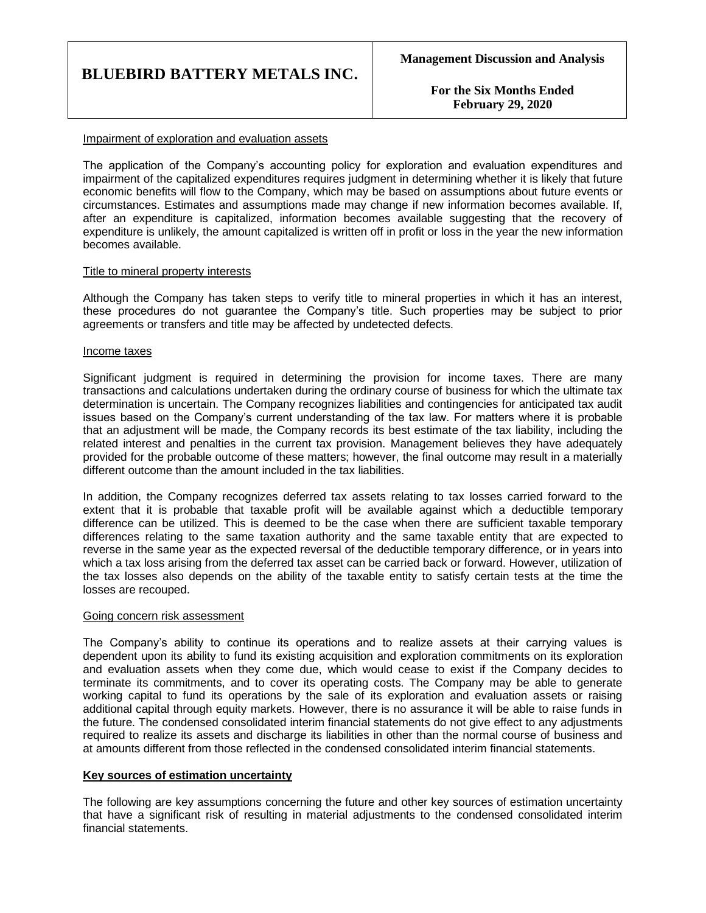**For the Six Months Ended February 29, 2020**

### Impairment of exploration and evaluation assets

The application of the Company's accounting policy for exploration and evaluation expenditures and impairment of the capitalized expenditures requires judgment in determining whether it is likely that future economic benefits will flow to the Company, which may be based on assumptions about future events or circumstances. Estimates and assumptions made may change if new information becomes available. If, after an expenditure is capitalized, information becomes available suggesting that the recovery of expenditure is unlikely, the amount capitalized is written off in profit or loss in the year the new information becomes available.

#### Title to mineral property interests

Although the Company has taken steps to verify title to mineral properties in which it has an interest, these procedures do not guarantee the Company's title. Such properties may be subject to prior agreements or transfers and title may be affected by undetected defects.

#### Income taxes

Significant judgment is required in determining the provision for income taxes. There are many transactions and calculations undertaken during the ordinary course of business for which the ultimate tax determination is uncertain. The Company recognizes liabilities and contingencies for anticipated tax audit issues based on the Company's current understanding of the tax law. For matters where it is probable that an adjustment will be made, the Company records its best estimate of the tax liability, including the related interest and penalties in the current tax provision. Management believes they have adequately provided for the probable outcome of these matters; however, the final outcome may result in a materially different outcome than the amount included in the tax liabilities.

In addition, the Company recognizes deferred tax assets relating to tax losses carried forward to the extent that it is probable that taxable profit will be available against which a deductible temporary difference can be utilized. This is deemed to be the case when there are sufficient taxable temporary differences relating to the same taxation authority and the same taxable entity that are expected to reverse in the same year as the expected reversal of the deductible temporary difference, or in years into which a tax loss arising from the deferred tax asset can be carried back or forward. However, utilization of the tax losses also depends on the ability of the taxable entity to satisfy certain tests at the time the losses are recouped.

#### Going concern risk assessment

The Company's ability to continue its operations and to realize assets at their carrying values is dependent upon its ability to fund its existing acquisition and exploration commitments on its exploration and evaluation assets when they come due, which would cease to exist if the Company decides to terminate its commitments, and to cover its operating costs. The Company may be able to generate working capital to fund its operations by the sale of its exploration and evaluation assets or raising additional capital through equity markets. However, there is no assurance it will be able to raise funds in the future. The condensed consolidated interim financial statements do not give effect to any adjustments required to realize its assets and discharge its liabilities in other than the normal course of business and at amounts different from those reflected in the condensed consolidated interim financial statements.

### **Key sources of estimation uncertainty**

The following are key assumptions concerning the future and other key sources of estimation uncertainty that have a significant risk of resulting in material adjustments to the condensed consolidated interim financial statements.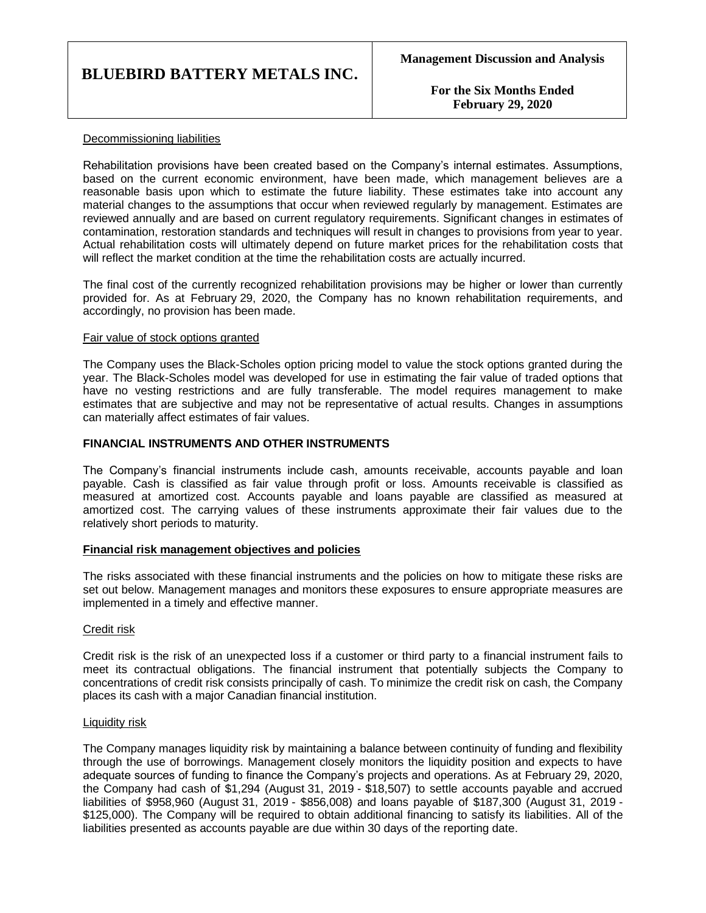**For the Six Months Ended February 29, 2020**

## Decommissioning liabilities

Rehabilitation provisions have been created based on the Company's internal estimates. Assumptions, based on the current economic environment, have been made, which management believes are a reasonable basis upon which to estimate the future liability. These estimates take into account any material changes to the assumptions that occur when reviewed regularly by management. Estimates are reviewed annually and are based on current regulatory requirements. Significant changes in estimates of contamination, restoration standards and techniques will result in changes to provisions from year to year. Actual rehabilitation costs will ultimately depend on future market prices for the rehabilitation costs that will reflect the market condition at the time the rehabilitation costs are actually incurred.

The final cost of the currently recognized rehabilitation provisions may be higher or lower than currently provided for. As at February 29, 2020, the Company has no known rehabilitation requirements, and accordingly, no provision has been made.

### Fair value of stock options granted

The Company uses the Black-Scholes option pricing model to value the stock options granted during the year. The Black-Scholes model was developed for use in estimating the fair value of traded options that have no vesting restrictions and are fully transferable. The model requires management to make estimates that are subjective and may not be representative of actual results. Changes in assumptions can materially affect estimates of fair values.

## **FINANCIAL INSTRUMENTS AND OTHER INSTRUMENTS**

The Company's financial instruments include cash, amounts receivable, accounts payable and loan payable. Cash is classified as fair value through profit or loss. Amounts receivable is classified as measured at amortized cost. Accounts payable and loans payable are classified as measured at amortized cost. The carrying values of these instruments approximate their fair values due to the relatively short periods to maturity.

### **Financial risk management objectives and policies**

The risks associated with these financial instruments and the policies on how to mitigate these risks are set out below. Management manages and monitors these exposures to ensure appropriate measures are implemented in a timely and effective manner.

### Credit risk

Credit risk is the risk of an unexpected loss if a customer or third party to a financial instrument fails to meet its contractual obligations. The financial instrument that potentially subjects the Company to concentrations of credit risk consists principally of cash. To minimize the credit risk on cash, the Company places its cash with a major Canadian financial institution.

### Liquidity risk

The Company manages liquidity risk by maintaining a balance between continuity of funding and flexibility through the use of borrowings. Management closely monitors the liquidity position and expects to have adequate sources of funding to finance the Company's projects and operations. As at February 29, 2020, the Company had cash of \$1,294 (August 31, 2019 - \$18,507) to settle accounts payable and accrued liabilities of \$958,960 (August 31, 2019 - \$856,008) and loans payable of \$187,300 (August 31, 2019 - \$125,000). The Company will be required to obtain additional financing to satisfy its liabilities. All of the liabilities presented as accounts payable are due within 30 days of the reporting date.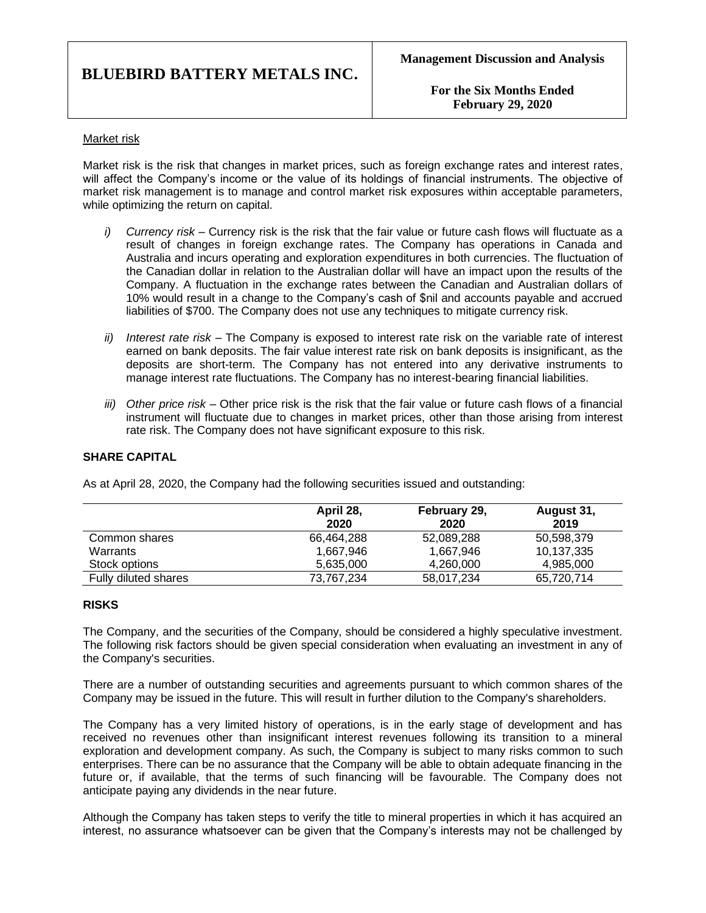**For the Six Months Ended February 29, 2020**

## Market risk

Market risk is the risk that changes in market prices, such as foreign exchange rates and interest rates, will affect the Company's income or the value of its holdings of financial instruments. The objective of market risk management is to manage and control market risk exposures within acceptable parameters, while optimizing the return on capital.

- *i) Currency risk –* Currency risk is the risk that the fair value or future cash flows will fluctuate as a result of changes in foreign exchange rates. The Company has operations in Canada and Australia and incurs operating and exploration expenditures in both currencies. The fluctuation of the Canadian dollar in relation to the Australian dollar will have an impact upon the results of the Company. A fluctuation in the exchange rates between the Canadian and Australian dollars of 10% would result in a change to the Company's cash of \$nil and accounts payable and accrued liabilities of \$700. The Company does not use any techniques to mitigate currency risk.
- *ii) Interest rate risk –* The Company is exposed to interest rate risk on the variable rate of interest earned on bank deposits. The fair value interest rate risk on bank deposits is insignificant, as the deposits are short-term. The Company has not entered into any derivative instruments to manage interest rate fluctuations. The Company has no interest-bearing financial liabilities.
- *iii) Other price risk –* Other price risk is the risk that the fair value or future cash flows of a financial instrument will fluctuate due to changes in market prices, other than those arising from interest rate risk. The Company does not have significant exposure to this risk.

## **SHARE CAPITAL**

|                      | April 28,<br>2020 | February 29,<br>2020 | August 31,<br>2019 |
|----------------------|-------------------|----------------------|--------------------|
| Common shares        | 66,464,288        | 52,089,288           | 50,598,379         |
| Warrants             | 1,667,946         | 1,667,946            | 10,137,335         |
| Stock options        | 5,635,000         | 4,260,000            | 4,985,000          |
| Fully diluted shares | 73.767.234        | 58.017.234           | 65.720.714         |

As at April 28, 2020, the Company had the following securities issued and outstanding:

### **RISKS**

The Company, and the securities of the Company, should be considered a highly speculative investment. The following risk factors should be given special consideration when evaluating an investment in any of the Company's securities.

There are a number of outstanding securities and agreements pursuant to which common shares of the Company may be issued in the future. This will result in further dilution to the Company's shareholders.

The Company has a very limited history of operations, is in the early stage of development and has received no revenues other than insignificant interest revenues following its transition to a mineral exploration and development company. As such, the Company is subject to many risks common to such enterprises. There can be no assurance that the Company will be able to obtain adequate financing in the future or, if available, that the terms of such financing will be favourable. The Company does not anticipate paying any dividends in the near future.

Although the Company has taken steps to verify the title to mineral properties in which it has acquired an interest, no assurance whatsoever can be given that the Company's interests may not be challenged by